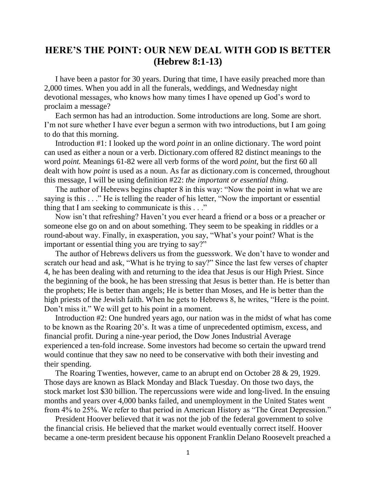## **HERE'S THE POINT: OUR NEW DEAL WITH GOD IS BETTER (Hebrew 8:1-13)**

I have been a pastor for 30 years. During that time, I have easily preached more than 2,000 times. When you add in all the funerals, weddings, and Wednesday night devotional messages, who knows how many times I have opened up God's word to proclaim a message?

Each sermon has had an introduction. Some introductions are long. Some are short. I'm not sure whether I have ever begun a sermon with two introductions, but I am going to do that this morning.

Introduction #1: I looked up the word *point* in an online dictionary. The word point can used as either a noun or a verb. Dictionary.com offered 82 distinct meanings to the word *point.* Meanings 61-82 were all verb forms of the word *point,* but the first 60 all dealt with how *point* is used as a noun. As far as dictionary.com is concerned, throughout this message, I will be using definition #22: *the important or essential thing.*

The author of Hebrews begins chapter 8 in this way: "Now the point in what we are saying is this . . ." He is telling the reader of his letter, "Now the important or essential thing that I am seeking to communicate is this . . ."

Now isn't that refreshing? Haven't you ever heard a friend or a boss or a preacher or someone else go on and on about something. They seem to be speaking in riddles or a round-about way. Finally, in exasperation, you say, "What's your point? What is the important or essential thing you are trying to say?"

The author of Hebrews delivers us from the guesswork. We don't have to wonder and scratch our head and ask, "What is he trying to say?" Since the last few verses of chapter 4, he has been dealing with and returning to the idea that Jesus is our High Priest. Since the beginning of the book, he has been stressing that Jesus is better than. He is better than the prophets; He is better than angels; He is better than Moses, and He is better than the high priests of the Jewish faith. When he gets to Hebrews 8, he writes, "Here is the point. Don't miss it." We will get to his point in a moment.

Introduction #2: One hundred years ago, our nation was in the midst of what has come to be known as the Roaring 20's. It was a time of unprecedented optimism, excess, and financial profit. During a nine-year period, the Dow Jones Industrial Average experienced a ten-fold increase. Some investors had become so certain the upward trend would continue that they saw no need to be conservative with both their investing and their spending.

The Roaring Twenties, however, came to an abrupt end on October 28 & 29, 1929. Those days are known as Black Monday and Black Tuesday. On those two days, the stock market lost \$30 billion. The repercussions were wide and long-lived. In the ensuing months and years over 4,000 banks failed, and unemployment in the United States went from 4% to 25%. We refer to that period in American History as "The Great Depression."

President Hoover believed that it was not the job of the federal government to solve the financial crisis. He believed that the market would eventually correct itself. Hoover became a one-term president because his opponent Franklin Delano Roosevelt preached a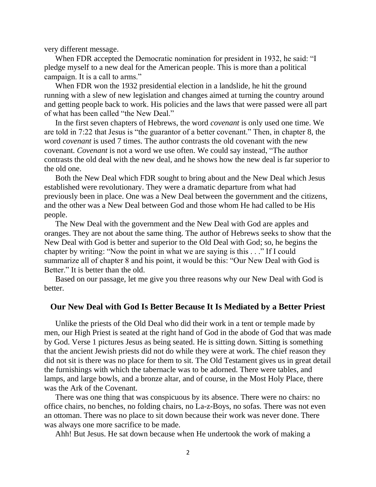very different message.

When FDR accepted the Democratic nomination for president in 1932, he said: "I pledge myself to a new deal for the American people. This is more than a political campaign. It is a call to arms."

When FDR won the 1932 presidential election in a landslide, he hit the ground running with a slew of new legislation and changes aimed at turning the country around and getting people back to work. His policies and the laws that were passed were all part of what has been called "the New Deal."

In the first seven chapters of Hebrews, the word *covenant* is only used one time. We are told in 7:22 that Jesus is "the guarantor of a better covenant." Then, in chapter 8, the word *covenant* is used 7 times. The author contrasts the old covenant with the new covenant. *Covenant* is not a word we use often. We could say instead, "The author contrasts the old deal with the new deal, and he shows how the new deal is far superior to the old one.

Both the New Deal which FDR sought to bring about and the New Deal which Jesus established were revolutionary. They were a dramatic departure from what had previously been in place. One was a New Deal between the government and the citizens, and the other was a New Deal between God and those whom He had called to be His people.

The New Deal with the government and the New Deal with God are apples and oranges. They are not about the same thing. The author of Hebrews seeks to show that the New Deal with God is better and superior to the Old Deal with God; so, he begins the chapter by writing: "Now the point in what we are saying is this . . ." If I could summarize all of chapter 8 and his point, it would be this: "Our New Deal with God is Better." It is better than the old.

Based on our passage, let me give you three reasons why our New Deal with God is better.

## **Our New Deal with God Is Better Because It Is Mediated by a Better Priest**

Unlike the priests of the Old Deal who did their work in a tent or temple made by men, our High Priest is seated at the right hand of God in the abode of God that was made by God. Verse 1 pictures Jesus as being seated. He is sitting down. Sitting is something that the ancient Jewish priests did not do while they were at work. The chief reason they did not sit is there was no place for them to sit. The Old Testament gives us in great detail the furnishings with which the tabernacle was to be adorned. There were tables, and lamps, and large bowls, and a bronze altar, and of course, in the Most Holy Place, there was the Ark of the Covenant.

There was one thing that was conspicuous by its absence. There were no chairs: no office chairs, no benches, no folding chairs, no La-z-Boys, no sofas. There was not even an ottoman. There was no place to sit down because their work was never done. There was always one more sacrifice to be made.

Ahh! But Jesus. He sat down because when He undertook the work of making a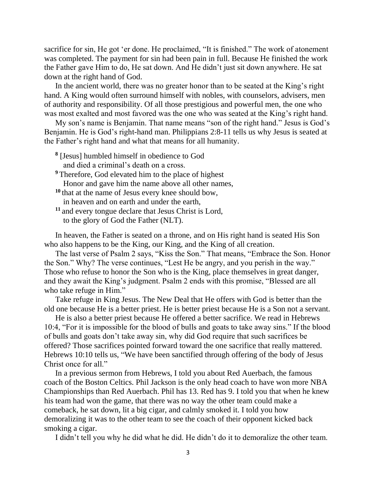sacrifice for sin, He got 'er done. He proclaimed, "It is finished." The work of atonement was completed. The payment for sin had been pain in full. Because He finished the work the Father gave Him to do, He sat down. And He didn't just sit down anywhere. He sat down at the right hand of God.

In the ancient world, there was no greater honor than to be seated at the King's right hand. A King would often surround himself with nobles, with counselors, advisers, men of authority and responsibility. Of all those prestigious and powerful men, the one who was most exalted and most favored was the one who was seated at the King's right hand.

My son's name is Benjamin. That name means "son of the right hand." Jesus is God's Benjamin. He is God's right-hand man. Philippians 2:8-11 tells us why Jesus is seated at the Father's right hand and what that means for all humanity.

- **8** [Jesus] humbled himself in obedience to God and died a criminal's death on a cross.
- **<sup>9</sup>** Therefore, God elevated him to the place of highest Honor and gave him the name above all other names,
- **<sup>10</sup>** that at the name of Jesus every knee should bow, in heaven and on earth and under the earth,
- **<sup>11</sup>** and every tongue declare that Jesus Christ is Lord, to the glory of God the Father (NLT).

In heaven, the Father is seated on a throne, and on His right hand is seated His Son who also happens to be the King, our King, and the King of all creation.

The last verse of Psalm 2 says, "Kiss the Son." That means, "Embrace the Son. Honor the Son." Why? The verse continues, "Lest He be angry, and you perish in the way." Those who refuse to honor the Son who is the King, place themselves in great danger, and they await the King's judgment. Psalm 2 ends with this promise, "Blessed are all who take refuge in Him."

Take refuge in King Jesus. The New Deal that He offers with God is better than the old one because He is a better priest. He is better priest because He is a Son not a servant.

He is also a better priest because He offered a better sacrifice. We read in Hebrews 10:4, "For it is impossible for the blood of bulls and goats to take away sins." If the blood of bulls and goats don't take away sin, why did God require that such sacrifices be offered? Those sacrifices pointed forward toward the one sacrifice that really mattered. Hebrews 10:10 tells us, "We have been sanctified through offering of the body of Jesus Christ once for all."

In a previous sermon from Hebrews, I told you about Red Auerbach, the famous coach of the Boston Celtics. Phil Jackson is the only head coach to have won more NBA Championships than Red Auerbach. Phil has 13. Red has 9. I told you that when he knew his team had won the game, that there was no way the other team could make a comeback, he sat down, lit a big cigar, and calmly smoked it. I told you how demoralizing it was to the other team to see the coach of their opponent kicked back smoking a cigar.

I didn't tell you why he did what he did. He didn't do it to demoralize the other team.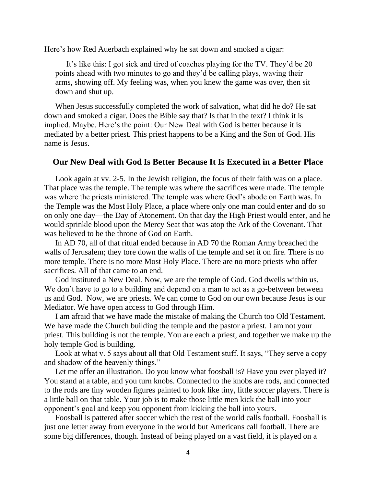Here's how Red Auerbach explained why he sat down and smoked a cigar:

It's like this: I got sick and tired of coaches playing for the TV. They'd be 20 points ahead with two minutes to go and they'd be calling plays, waving their arms, showing off. My feeling was, when you knew the game was over, then sit down and shut up.

When Jesus successfully completed the work of salvation, what did he do? He sat down and smoked a cigar. Does the Bible say that? Is that in the text? I think it is implied. Maybe. Here's the point: Our New Deal with God is better because it is mediated by a better priest. This priest happens to be a King and the Son of God. His name is Jesus.

## **Our New Deal with God Is Better Because It Is Executed in a Better Place**

Look again at vv. 2-5. In the Jewish religion, the focus of their faith was on a place. That place was the temple. The temple was where the sacrifices were made. The temple was where the priests ministered. The temple was where God's abode on Earth was. In the Temple was the Most Holy Place, a place where only one man could enter and do so on only one day—the Day of Atonement. On that day the High Priest would enter, and he would sprinkle blood upon the Mercy Seat that was atop the Ark of the Covenant. That was believed to be the throne of God on Earth.

In AD 70, all of that ritual ended because in AD 70 the Roman Army breached the walls of Jerusalem; they tore down the walls of the temple and set it on fire. There is no more temple. There is no more Most Holy Place. There are no more priests who offer sacrifices. All of that came to an end.

God instituted a New Deal. Now, we are the temple of God. God dwells within us. We don't have to go to a building and depend on a man to act as a go-between between us and God. Now, we are priests. We can come to God on our own because Jesus is our Mediator. We have open access to God through Him.

I am afraid that we have made the mistake of making the Church too Old Testament. We have made the Church building the temple and the pastor a priest. I am not your priest. This building is not the temple. You are each a priest, and together we make up the holy temple God is building.

Look at what v. 5 says about all that Old Testament stuff. It says, "They serve a copy and shadow of the heavenly things."

Let me offer an illustration. Do you know what foosball is? Have you ever played it? You stand at a table, and you turn knobs. Connected to the knobs are rods, and connected to the rods are tiny wooden figures painted to look like tiny, little soccer players. There is a little ball on that table. Your job is to make those little men kick the ball into your opponent's goal and keep you opponent from kicking the ball into yours.

Foosball is pattered after soccer which the rest of the world calls football. Foosball is just one letter away from everyone in the world but Americans call football. There are some big differences, though. Instead of being played on a vast field, it is played on a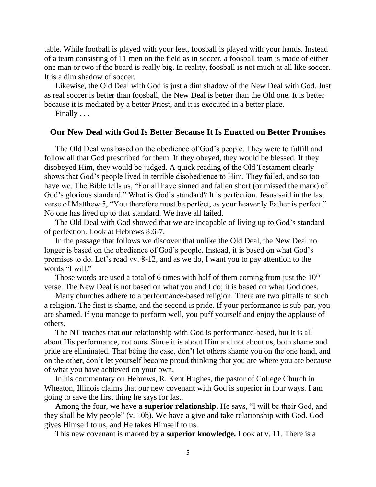table. While football is played with your feet, foosball is played with your hands. Instead of a team consisting of 11 men on the field as in soccer, a foosball team is made of either one man or two if the board is really big. In reality, foosball is not much at all like soccer. It is a dim shadow of soccer.

Likewise, the Old Deal with God is just a dim shadow of the New Deal with God. Just as real soccer is better than foosball, the New Deal is better than the Old one. It is better because it is mediated by a better Priest, and it is executed in a better place.

Finally . . .

## **Our New Deal with God Is Better Because It Is Enacted on Better Promises**

The Old Deal was based on the obedience of God's people. They were to fulfill and follow all that God prescribed for them. If they obeyed, they would be blessed. If they disobeyed Him, they would be judged. A quick reading of the Old Testament clearly shows that God's people lived in terrible disobedience to Him. They failed, and so too have we. The Bible tells us, "For all have sinned and fallen short (or missed the mark) of God's glorious standard." What is God's standard? It is perfection. Jesus said in the last verse of Matthew 5, "You therefore must be perfect, as your heavenly Father is perfect." No one has lived up to that standard. We have all failed.

The Old Deal with God showed that we are incapable of living up to God's standard of perfection. Look at Hebrews 8:6-7.

In the passage that follows we discover that unlike the Old Deal, the New Deal no longer is based on the obedience of God's people. Instead, it is based on what God's promises to do. Let's read vv. 8-12, and as we do, I want you to pay attention to the words "I will."

Those words are used a total of 6 times with half of them coming from just the  $10<sup>th</sup>$ verse. The New Deal is not based on what you and I do; it is based on what God does.

Many churches adhere to a performance-based religion. There are two pitfalls to such a religion. The first is shame, and the second is pride. If your performance is sub-par, you are shamed. If you manage to perform well, you puff yourself and enjoy the applause of others.

The NT teaches that our relationship with God is performance-based, but it is all about His performance, not ours. Since it is about Him and not about us, both shame and pride are eliminated. That being the case, don't let others shame you on the one hand, and on the other, don't let yourself become proud thinking that you are where you are because of what you have achieved on your own.

In his commentary on Hebrews, R. Kent Hughes, the pastor of College Church in Wheaton, Illinois claims that our new covenant with God is superior in four ways. I am going to save the first thing he says for last.

Among the four, we have **a superior relationship.** He says, "I will be their God, and they shall be My people" (v. 10b). We have a give and take relationship with God. God gives Himself to us, and He takes Himself to us.

This new covenant is marked by **a superior knowledge.** Look at v. 11. There is a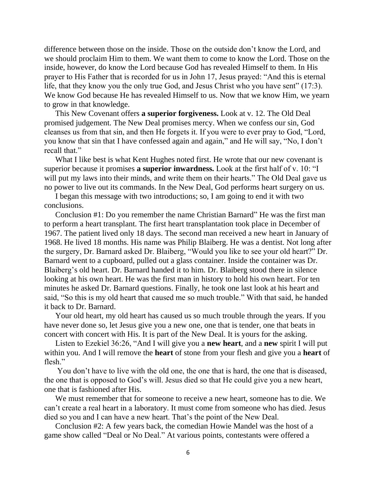difference between those on the inside. Those on the outside don't know the Lord, and we should proclaim Him to them. We want them to come to know the Lord. Those on the inside, however, do know the Lord because God has revealed Himself to them. In His prayer to His Father that is recorded for us in John 17, Jesus prayed: "And this is eternal life, that they know you the only true God, and Jesus Christ who you have sent" (17:3). We know God because He has revealed Himself to us. Now that we know Him, we yearn to grow in that knowledge.

This New Covenant offers **a superior forgiveness.** Look at v. 12. The Old Deal promised judgement. The New Deal promises mercy. When we confess our sin, God cleanses us from that sin, and then He forgets it. If you were to ever pray to God, "Lord, you know that sin that I have confessed again and again," and He will say, "No, I don't recall that."

What I like best is what Kent Hughes noted first. He wrote that our new covenant is superior because it promises **a superior inwardness.** Look at the first half of v. 10: "I will put my laws into their minds, and write them on their hearts." The Old Deal gave us no power to live out its commands. In the New Deal, God performs heart surgery on us.

I began this message with two introductions; so, I am going to end it with two conclusions.

Conclusion #1: Do you remember the name Christian Barnard" He was the first man to perform a heart transplant. The first heart transplantation took place in December of 1967. The patient lived only 18 days. The second man received a new heart in January of 1968. He lived 18 months. His name was Philip Blaiberg. He was a dentist. Not long after the surgery, Dr. Barnard asked Dr. Blaiberg, "Would you like to see your old heart?" Dr. Barnard went to a cupboard, pulled out a glass container. Inside the container was Dr. Blaiberg's old heart. Dr. Barnard handed it to him. Dr. Blaiberg stood there in silence looking at his own heart. He was the first man in history to hold his own heart. For ten minutes he asked Dr. Barnard questions. Finally, he took one last look at his heart and said, "So this is my old heart that caused me so much trouble." With that said, he handed it back to Dr. Barnard.

Your old heart, my old heart has caused us so much trouble through the years. If you have never done so, let Jesus give you a new one, one that is tender, one that beats in concert with concert with His. It is part of the New Deal. It is yours for the asking.

Listen to Ezekiel 36:26, "And I will give you a **new heart**, and a **new** spirit I will put within you. And I will remove the **heart** of stone from your flesh and give you a **heart** of flesh."

You don't have to live with the old one, the one that is hard, the one that is diseased, the one that is opposed to God's will. Jesus died so that He could give you a new heart, one that is fashioned after His.

We must remember that for someone to receive a new heart, someone has to die. We can't create a real heart in a laboratory. It must come from someone who has died. Jesus died so you and I can have a new heart. That's the point of the New Deal.

Conclusion #2: A few years back, the comedian Howie Mandel was the host of a game show called "Deal or No Deal." At various points, contestants were offered a